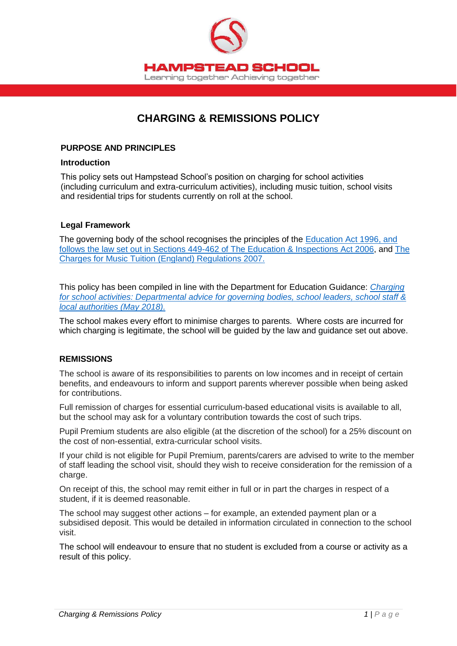

# **CHARGING & REMISSIONS POLICY**

#### **PURPOSE AND PRINCIPLES**

#### **Introduction**

This policy sets out Hampstead School's position on charging for school activities (including curriculum and extra-curriculum activities), including music tuition, school visits and residential trips for students currently on roll at the school.

## **Legal Framework**

The governing body of the school recognises the principles of the [Education Act 1996, and](https://www.legislation.gov.uk/ukpga/1996/56/section/449)  [follows the law set out in Sections 449-462 of The Education & Inspections Act 2006,](https://www.legislation.gov.uk/ukpga/1996/56/section/449) and [The](https://www.legislation.gov.uk/uksi/2007/2239/contents/made)  [Charges for Music Tuition \(England\) Regulations 2007.](https://www.legislation.gov.uk/uksi/2007/2239/contents/made)

This policy has been compiled in line with the Department for Education Guidance: *[Charging](https://www.gov.uk/government/publications/charging-for-school-activities)  [for school activities: Departmental advice for governing bodies, school leaders, school staff &](https://www.gov.uk/government/publications/charging-for-school-activities)  [local authorities \(May 2018\).](https://www.gov.uk/government/publications/charging-for-school-activities)*

The school makes every effort to minimise charges to parents. Where costs are incurred for which charging is legitimate, the school will be guided by the law and guidance set out above.

#### **REMISSIONS**

The school is aware of its responsibilities to parents on low incomes and in receipt of certain benefits, and endeavours to inform and support parents wherever possible when being asked for contributions.

Full remission of charges for essential curriculum-based educational visits is available to all, but the school may ask for a voluntary contribution towards the cost of such trips.

Pupil Premium students are also eligible (at the discretion of the school) for a 25% discount on the cost of non-essential, extra-curricular school visits.

If your child is not eligible for Pupil Premium, parents/carers are advised to write to the member of staff leading the school visit, should they wish to receive consideration for the remission of a charge.

On receipt of this, the school may remit either in full or in part the charges in respect of a student, if it is deemed reasonable.

The school may suggest other actions – for example, an extended payment plan or a subsidised deposit. This would be detailed in information circulated in connection to the school visit.

The school will endeavour to ensure that no student is excluded from a course or activity as a result of this policy.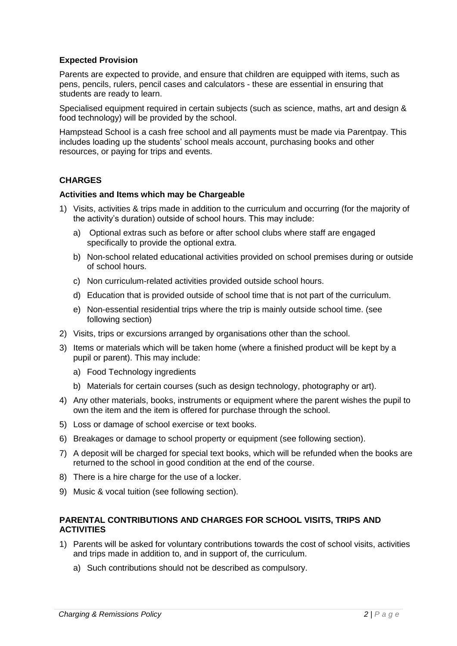## **Expected Provision**

Parents are expected to provide, and ensure that children are equipped with items, such as pens, pencils, rulers, pencil cases and calculators - these are essential in ensuring that students are ready to learn.

Specialised equipment required in certain subjects (such as science, maths, art and design & food technology) will be provided by the school.

Hampstead School is a cash free school and all payments must be made via Parentpay. This includes loading up the students' school meals account, purchasing books and other resources, or paying for trips and events.

## **CHARGES**

#### **Activities and Items which may be Chargeable**

- 1) Visits, activities & trips made in addition to the curriculum and occurring (for the majority of the activity's duration) outside of school hours. This may include:
	- a) Optional extras such as before or after school clubs where staff are engaged specifically to provide the optional extra.
	- b) Non-school related educational activities provided on school premises during or outside of school hours.
	- c) Non curriculum-related activities provided outside school hours.
	- d) Education that is provided outside of school time that is not part of the curriculum.
	- e) Non-essential residential trips where the trip is mainly outside school time. (see following section)
- 2) Visits, trips or excursions arranged by organisations other than the school.
- 3) Items or materials which will be taken home (where a finished product will be kept by a pupil or parent). This may include:
	- a) Food Technology ingredients
	- b) Materials for certain courses (such as design technology, photography or art).
- 4) Any other materials, books, instruments or equipment where the parent wishes the pupil to own the item and the item is offered for purchase through the school.
- 5) Loss or damage of school exercise or text books.
- 6) Breakages or damage to school property or equipment (see following section).
- 7) A deposit will be charged for special text books, which will be refunded when the books are returned to the school in good condition at the end of the course.
- 8) There is a hire charge for the use of a locker.
- 9) Music & vocal tuition (see following section).

## **PARENTAL CONTRIBUTIONS AND CHARGES FOR SCHOOL VISITS, TRIPS AND ACTIVITIES**

- 1) Parents will be asked for voluntary contributions towards the cost of school visits, activities and trips made in addition to, and in support of, the curriculum.
	- a) Such contributions should not be described as compulsory.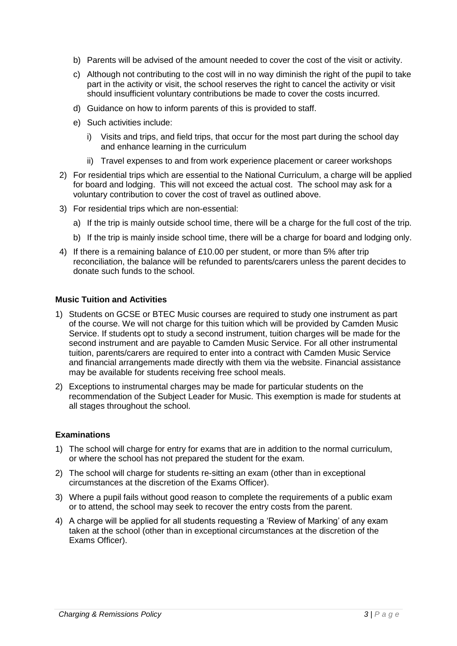- b) Parents will be advised of the amount needed to cover the cost of the visit or activity.
- c) Although not contributing to the cost will in no way diminish the right of the pupil to take part in the activity or visit, the school reserves the right to cancel the activity or visit should insufficient voluntary contributions be made to cover the costs incurred.
- d) Guidance on how to inform parents of this is provided to staff.
- e) Such activities include:
	- i) Visits and trips, and field trips, that occur for the most part during the school day and enhance learning in the curriculum
	- ii) Travel expenses to and from work experience placement or career workshops
- 2) For residential trips which are essential to the National Curriculum, a charge will be applied for board and lodging. This will not exceed the actual cost. The school may ask for a voluntary contribution to cover the cost of travel as outlined above.
- 3) For residential trips which are non-essential:
	- a) If the trip is mainly outside school time, there will be a charge for the full cost of the trip.
	- b) If the trip is mainly inside school time, there will be a charge for board and lodging only.
- 4) If there is a remaining balance of £10.00 per student, or more than 5% after trip reconciliation, the balance will be refunded to parents/carers unless the parent decides to donate such funds to the school.

#### **Music Tuition and Activities**

- 1) Students on GCSE or BTEC Music courses are required to study one instrument as part of the course. We will not charge for this tuition which will be provided by Camden Music Service. If students opt to study a second instrument, tuition charges will be made for the second instrument and are payable to Camden Music Service. For all other instrumental tuition, parents/carers are required to enter into a contract with Camden Music Service and financial arrangements made directly with them via the website. Financial assistance may be available for students receiving free school meals.
- 2) Exceptions to instrumental charges may be made for particular students on the recommendation of the Subject Leader for Music. This exemption is made for students at all stages throughout the school.

## **Examinations**

- 1) The school will charge for entry for exams that are in addition to the normal curriculum, or where the school has not prepared the student for the exam.
- 2) The school will charge for students re-sitting an exam (other than in exceptional circumstances at the discretion of the Exams Officer).
- 3) Where a pupil fails without good reason to complete the requirements of a public exam or to attend, the school may seek to recover the entry costs from the parent.
- 4) A charge will be applied for all students requesting a 'Review of Marking' of any exam taken at the school (other than in exceptional circumstances at the discretion of the Exams Officer).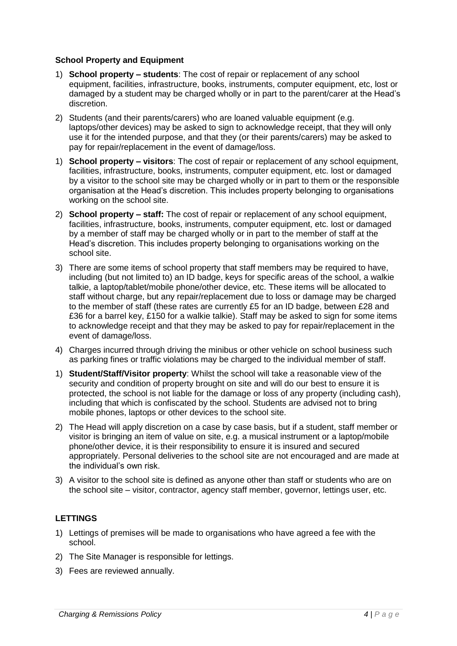## **School Property and Equipment**

- 1) **School property – students**: The cost of repair or replacement of any school equipment, facilities, infrastructure, books, instruments, computer equipment, etc, lost or damaged by a student may be charged wholly or in part to the parent/carer at the Head's discretion.
- 2) Students (and their parents/carers) who are loaned valuable equipment (e.g. laptops/other devices) may be asked to sign to acknowledge receipt, that they will only use it for the intended purpose, and that they (or their parents/carers) may be asked to pay for repair/replacement in the event of damage/loss.
- 1) **School property – visitors**: The cost of repair or replacement of any school equipment, facilities, infrastructure, books, instruments, computer equipment, etc. lost or damaged by a visitor to the school site may be charged wholly or in part to them or the responsible organisation at the Head's discretion. This includes property belonging to organisations working on the school site.
- 2) **School property – staff:** The cost of repair or replacement of any school equipment, facilities, infrastructure, books, instruments, computer equipment, etc. lost or damaged by a member of staff may be charged wholly or in part to the member of staff at the Head's discretion. This includes property belonging to organisations working on the school site.
- 3) There are some items of school property that staff members may be required to have, including (but not limited to) an ID badge, keys for specific areas of the school, a walkie talkie, a laptop/tablet/mobile phone/other device, etc. These items will be allocated to staff without charge, but any repair/replacement due to loss or damage may be charged to the member of staff (these rates are currently £5 for an ID badge, between £28 and £36 for a barrel key, £150 for a walkie talkie). Staff may be asked to sign for some items to acknowledge receipt and that they may be asked to pay for repair/replacement in the event of damage/loss.
- 4) Charges incurred through driving the minibus or other vehicle on school business such as parking fines or traffic violations may be charged to the individual member of staff.
- 1) **Student/Staff/Visitor property**: Whilst the school will take a reasonable view of the security and condition of property brought on site and will do our best to ensure it is protected, the school is not liable for the damage or loss of any property (including cash), including that which is confiscated by the school. Students are advised not to bring mobile phones, laptops or other devices to the school site.
- 2) The Head will apply discretion on a case by case basis, but if a student, staff member or visitor is bringing an item of value on site, e.g. a musical instrument or a laptop/mobile phone/other device, it is their responsibility to ensure it is insured and secured appropriately. Personal deliveries to the school site are not encouraged and are made at the individual's own risk.
- 3) A visitor to the school site is defined as anyone other than staff or students who are on the school site – visitor, contractor, agency staff member, governor, lettings user, etc.

## **LETTINGS**

- 1) Lettings of premises will be made to organisations who have agreed a fee with the school.
- 2) The Site Manager is responsible for lettings.
- 3) Fees are reviewed annually.